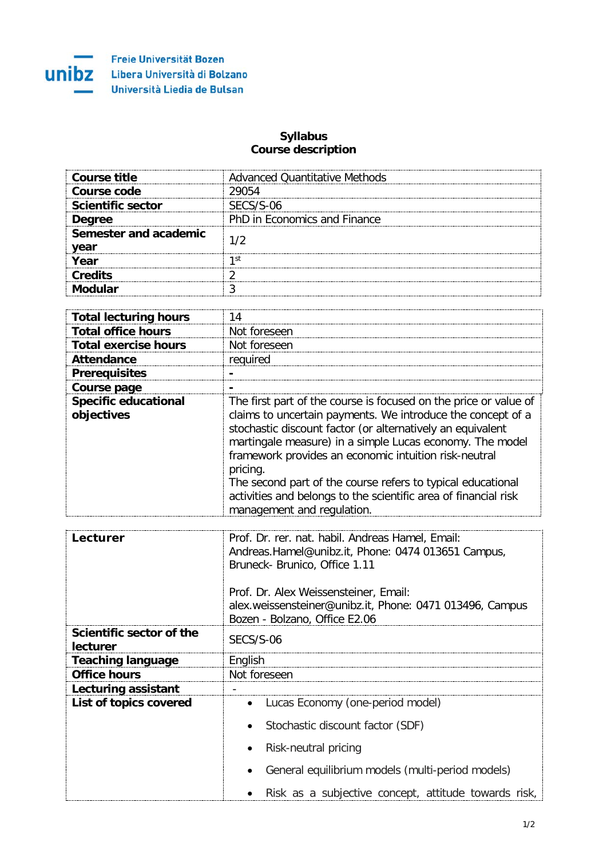

## **Syllabus Course description**

| Course title                  | Advanced Quantitative Methods |
|-------------------------------|-------------------------------|
| Course code                   | 29054                         |
| <b>Scientific sector</b>      | SECS/S-06                     |
| <b>Degree</b>                 | PhD in Economics and Finance  |
| Semester and academic<br>year |                               |
| Year                          | 1 St                          |
| <b>Credits</b>                |                               |
| dular.                        |                               |

| <b>Total lecturing hours</b>              | 14                                                                                                                                                                                                                                                                                                                                                                                                                                                                                             |
|-------------------------------------------|------------------------------------------------------------------------------------------------------------------------------------------------------------------------------------------------------------------------------------------------------------------------------------------------------------------------------------------------------------------------------------------------------------------------------------------------------------------------------------------------|
| <b>Total office hours</b>                 | Not foreseen                                                                                                                                                                                                                                                                                                                                                                                                                                                                                   |
| <b>Total exercise hours</b>               | Not foreseen                                                                                                                                                                                                                                                                                                                                                                                                                                                                                   |
| <b>Attendance</b>                         | required                                                                                                                                                                                                                                                                                                                                                                                                                                                                                       |
| <b>Prerequisites</b>                      |                                                                                                                                                                                                                                                                                                                                                                                                                                                                                                |
| Course page                               |                                                                                                                                                                                                                                                                                                                                                                                                                                                                                                |
| <b>Specific educational</b><br>objectives | The first part of the course is focused on the price or value of<br>claims to uncertain payments. We introduce the concept of a<br>stochastic discount factor (or alternatively an equivalent<br>martingale measure) in a simple Lucas economy. The model<br>framework provides an economic intuition risk-neutral<br>pricing.<br>The second part of the course refers to typical educational<br>activities and belongs to the scientific area of financial risk<br>management and regulation. |

| Lecturer                             | Prof. Dr. rer. nat. habil. Andreas Hamel, Email:<br>Andreas.Hamel@unibz.it, Phone: 0474 013651 Campus,<br>Bruneck- Brunico, Office 1.11<br>Prof. Dr. Alex Weissensteiner, Email:<br>alex.weissensteiner@unibz.it, Phone: 0471 013496, Campus<br>Bozen - Bolzano, Office E2.06 |
|--------------------------------------|-------------------------------------------------------------------------------------------------------------------------------------------------------------------------------------------------------------------------------------------------------------------------------|
| Scientific sector of the<br>lecturer | SECS/S-06                                                                                                                                                                                                                                                                     |
| <b>Teaching language</b>             | English                                                                                                                                                                                                                                                                       |
| <b>Office hours</b>                  | Not foreseen                                                                                                                                                                                                                                                                  |
| Lecturing assistant                  |                                                                                                                                                                                                                                                                               |
| List of topics covered               | Lucas Economy (one-period model)<br>$\bullet$<br>Stochastic discount factor (SDF)<br>Risk-neutral pricing<br>General equilibrium models (multi-period models)                                                                                                                 |
|                                      | Risk as a subjective concept, attitude towards risk,                                                                                                                                                                                                                          |